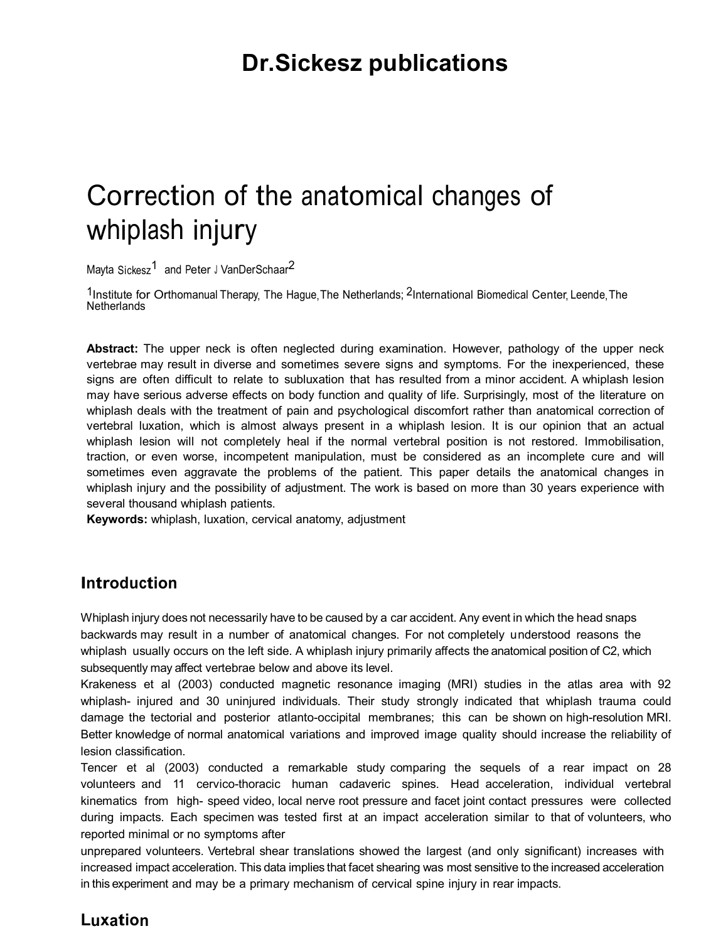## **Dr.Sickesz publications**

# Correction of the anatomical changes of whiplash injury

Mayta Sickesz<sup>1</sup> and Peter J VanDerSchaar<sup>2</sup>

<sup>1</sup> Institute for Orthomanual Therapy, The Hague, The Netherlands; <sup>2</sup>International Biomedical Center, Leende, The **Netherlands** 

**Abstract:** The upper neck is often neglected during examination. However, pathology of the upper neck vertebrae may result in diverse and sometimes severe signs and symptoms. For the inexperienced, these signs are often difficult to relate to subluxation that has resulted from a minor accident. A whiplash lesion may have serious adverse effects on body function and quality of life. Surprisingly, most of the literature on whiplash deals with the treatment of pain and psychological discomfort rather than anatomical correction of vertebral luxation, which is almost always present in a whiplash lesion. It is our opinion that an actual whiplash lesion will not completely heal if the normal vertebral position is not restored. Immobilisation, traction, or even worse, incompetent manipulation, must be considered as an incomplete cure and will sometimes even aggravate the problems of the patient. This paper details the anatomical changes in whiplash injury and the possibility of adjustment. The work is based on more than 30 years experience with several thousand whiplash patients.

**Keywords:** whiplash, luxation, cervical anatomy, adjustment

## **Introduction**

Whiplash injury does not necessarily have to be caused by a car accident. Any event in which the head snaps backwards may result in a number of anatomical changes. For not completely understood reasons the whiplash usually occurs on the left side. A whiplash injury primarily affects the anatomical position of C2, which subsequently may affect vertebrae below and above its level.

Krakeness et al (2003) conducted magnetic resonance imaging (MRI) studies in the atlas area with 92 whiplash- injured and 30 uninjured individuals. Their study strongly indicated that whiplash trauma could damage the tectorial and posterior atlanto-occipital membranes; this can be shown on high-resolution MRI. Better knowledge of normal anatomical variations and improved image quality should increase the reliability of lesion classification.

Tencer et al (2003) conducted a remarkable study comparing the sequels of a rear impact on 28 volunteers and 11 cervico-thoracic human cadaveric spines. Head acceleration, individual vertebral kinematics from high-speed video, local nerve root pressure and facet joint contact pressures were collected during impacts. Each specimen was tested first at an impact acceleration similar to that of volunteers, who reported minimal or no symptoms after

unprepared volunteers. Vertebral shear translations showed the largest (and only significant) increases with increased impact acceleration. This data implies that facet shearing was most sensitive to the increased acceleration in this experiment and may be a primary mechanism of cervical spine injury in rear impacts.

## **Luxation**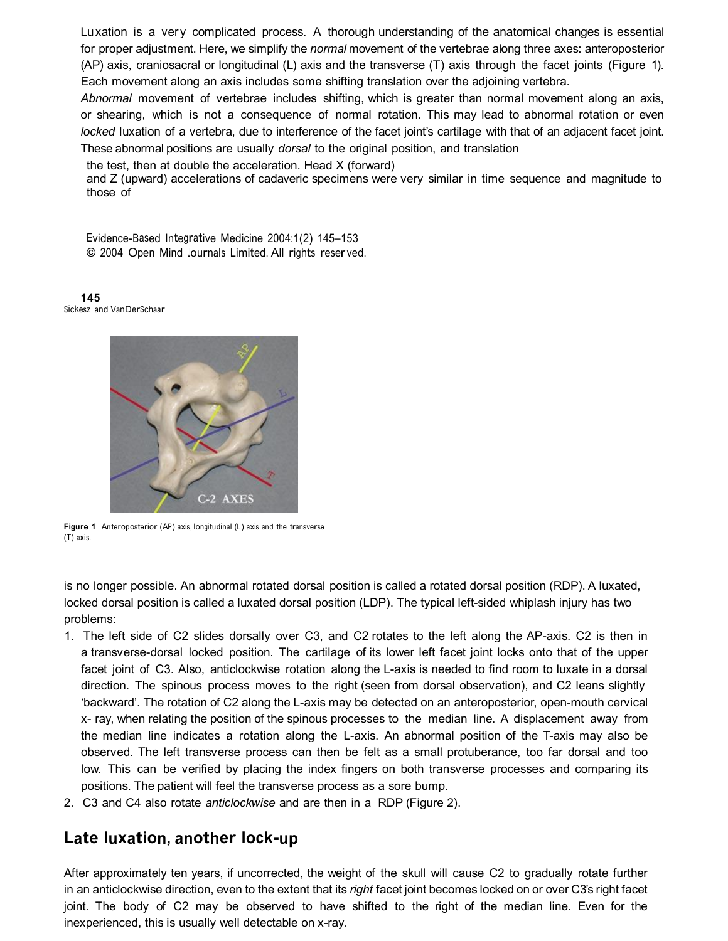Luxation is a very complicated process. A thorough understanding of the anatomical changes is essential for proper adjustment. Here, we simplify the *normal* movement of the vertebrae along three axes: anteroposterior (AP) axis, craniosacral or longitudinal (L) axis and the transverse (T) axis through the facet joints (Figure 1). Each movement along an axis includes some shifting translation over the adjoining vertebra.

*Abnormal* movement of vertebrae includes shifting, which is greater than normal movement along an axis, or shearing, which is not a consequence of normal rotation. This may lead to abnormal rotation or even *locked* luxation of a vertebra, due to interference of the facet joint's cartilage with that of an adjacent facet joint. These abnormal positions are usually *dorsal* to the original position, and translation

the test, then at double the acceleration. Head X (forward)

and Z (upward) accelerations of cadaveric specimens were very similar in time sequence and magnitude to those of

Evidence-Based Integrative Medicine 2004:1(2) 145–153 © 2004 Open Mind <sup>J</sup>ournal<sup>s</sup> Limited. All right<sup>s</sup> reser ved.

**145** <sup>S</sup>ickesz <sup>a</sup>nd VanDerSchaar



**Figure 1** Anteroposterior (AP) axis, longitudinal (L) axi<sup>s</sup> <sup>a</sup>nd the transverse (T) axis.

is no longer possible. An abnormal rotated dorsal position is called a rotated dorsal position (RDP). A luxated, locked dorsal position is called a luxated dorsal position (LDP). The typical left-sided whiplash injury has two problems:

- 1. The left side of C2 slides dorsally over C3, and C2 rotates to the left along the APaxis. C2 is then in a transverse-dorsal locked position. The cartilage of its lower left facet joint locks onto that of the upper facet joint of C3. Also, anticlockwise rotation along the L-axis is needed to find room to luxate in a dorsal direction. The spinous process moves to the right (seen from dorsal observation), and C2 leans slightly 'backward'. The rotation of C2 along the L-axis may be detected on an anteroposterior, open-mouth cervical x ray, when relating the position of the spinous processes to the median line. A displacement away from the median line indicates a rotation along the L-axis. An abnormal position of the T-axis may also be observed. The left transverse process can then be felt as a small protuberance, too far dorsal and too low. This can be verified by placing the index fingers on both transverse processes and comparing its positions. The patient will feel the transverse process as a sore bump.
- 2. C3 and C4 also rotate *anticlockwise* and are then in a RDP (Figure 2).

## **Late luxation, another lockup**

After approximately ten years, if uncorrected, the weight of the skull will cause C2 to gradually rotate further in an anticlockwise direction, even to the extent that its *right* facet joint becomes locked on or over C3's right facet joint. The body of C2 may be observed to have shifted to the right of the median line. Even for the inexperienced, this is usually well detectable on x-ray.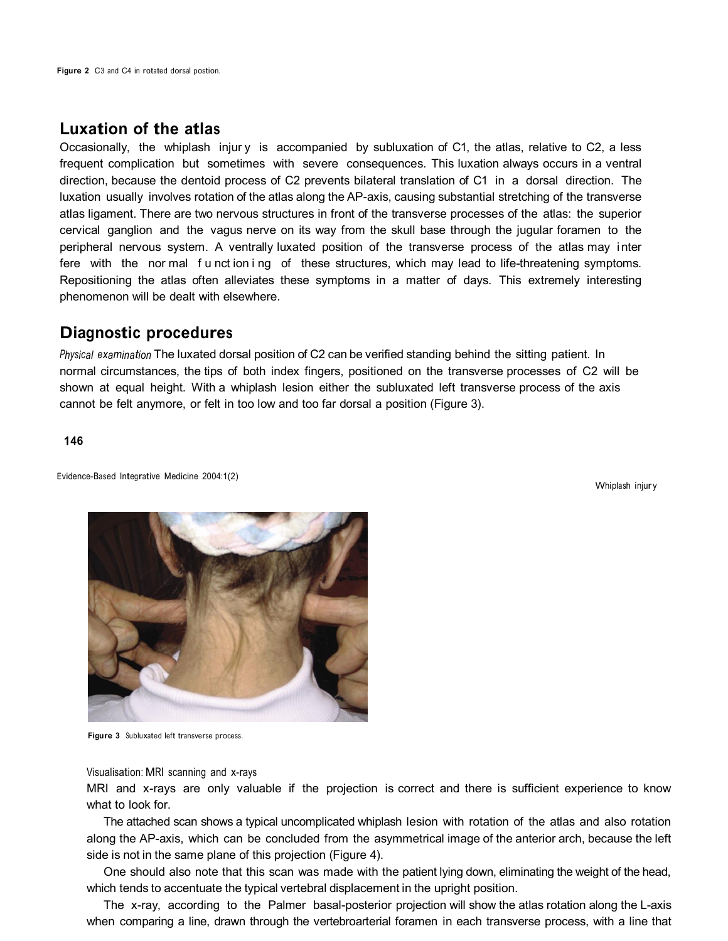## **Luxation of the atla<sup>s</sup>**

Occasionally, the whiplash injury is accompanied by subluxation of C1, the atlas, relative to C2, a less frequent complication but sometimes with severe consequences. This luxation always occurs in a ventral direction, because the dentoid process of C2 prevents bilateral translation of C1 in a dorsal direction. The luxation usually involves rotation of the atlas along the AP-axis, causing substantial stretching of the transverse atlas ligament. There are two nervous structures in front of the transverse processes of the atlas: the superior cervical ganglion and the vagus nerve on its way from the skull base through the jugular foramen to the peripheral nervous system. A ventrally luxated position of the transverse process of the atlas may inter fere with the normal function ing of these structures, which may lead to life-threatening symptoms. Repositioning the atlas often alleviates these symptoms in a matter of days. This extremely interesting phenomenon will be dealt with elsewhere.

### **Diagnostic procedures**

*<sup>P</sup>hysical examination* The luxated dorsal position of C2 can be verified standing behind the sitting patient. In normal circumstances, the tips of both index fingers, positioned on the transverse processes of C2 will be shown at equal height. With a whiplash lesion either the subluxated left transverse process of the axis cannot be felt anymore, or felt in too low and too far dorsal a position (Figure 3).

**146**

Evidence-Based Integrative Medicine 2004:1(2)

Whiplash injury



**Figure 3** <sup>S</sup>ubluxated left transverse process.

Visualisation: MRI scanning and x-rays

MRI and x-rays are only valuable if the projection is correct and there is sufficient experience to know what to look for.

The attached scan shows a typical uncomplicated whiplash lesion with rotation of the atlas and also rotation along the AP-axis, which can be concluded from the asymmetrical image of the anterior arch, because the left side is not in the same plane of this projection (Figure 4).

One should also note that this scan was made with the patient lying down, eliminating the weight of the head, which tends to accentuate the typical vertebral displacement in the upright position.

The x-ray, according to the Palmer basal-posterior projection will show the atlas rotation along the L-axis when comparing a line, drawn through the vertebroarterial foramen in each transverse process, with a line that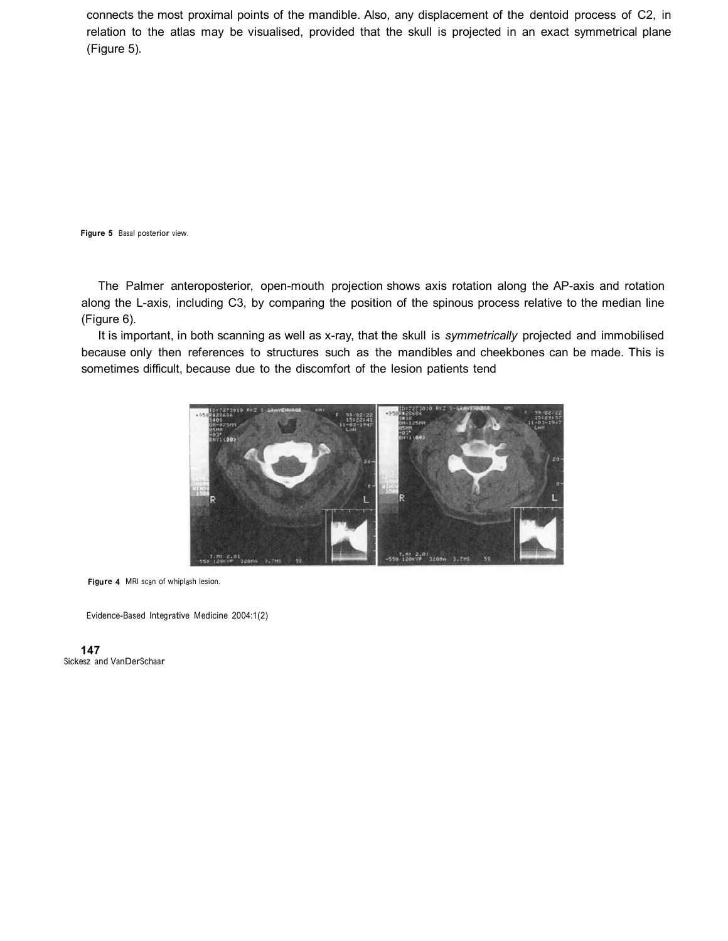connects the most proximal points of the mandible. Also, any displacement of the dentoid process of C2, in relation to the atlas may be visualised, provided that the skull is projected in an exact symmetrical plane (Figure 5).

**Figure 5** <sup>B</sup>asal posterior view.

The Palmer anteroposterior, open-mouth projection shows axis rotation along the AP-axis and rotation along the L-axis, including C3, by comparing the position of the spinous process relative to the median line (Figure 6).

It is important, in both scanning as well as x-ray, that the skull is *symmetrically* projected and immobilised because only then references to structures such as the mandibles and cheekbones can be made. This is sometimes difficult, because due to the discomfort of the lesion patients tend



**Figure 4** MRI scan of whiplash lesion.

Evidence-Based Integrative Medicine 2004:1(2)

**147** <sup>S</sup>ickesz <sup>a</sup>nd VanDerSchaar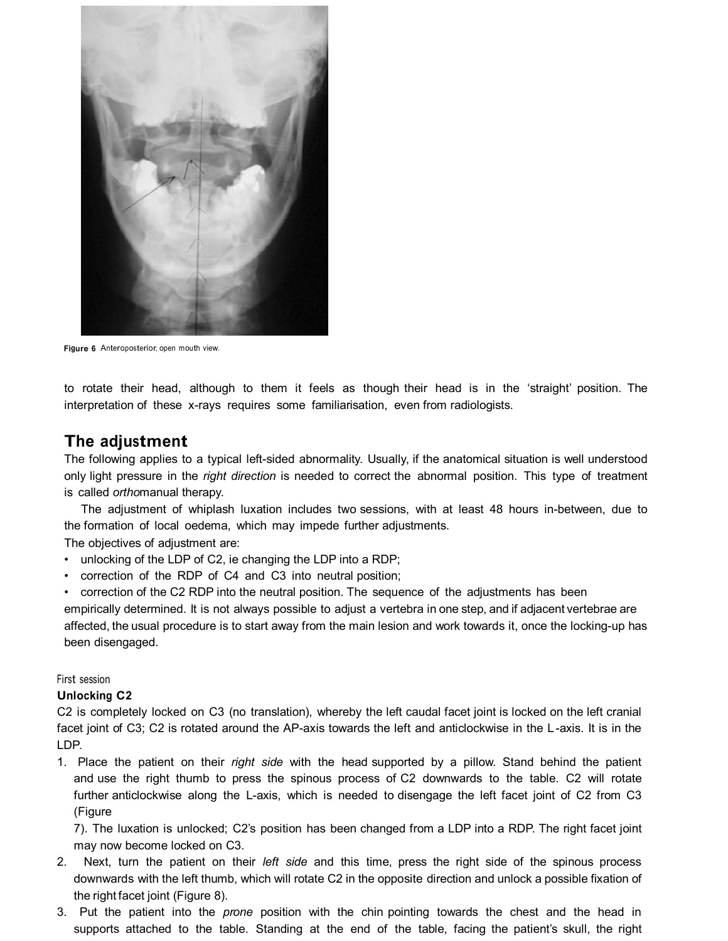

**Figure 6** Anteroposterior, open mouth view.

to rotate their head, although to them it feels as though their head is in the 'straight' position. The interpretation of these x-rays requires some familiarisation, even from radiologists.

## **The adjustment**

The following applies to a typical left-sided abnormality. Usually, if the anatomical situation is well understood only light pressure in the *right direction* is needed to correct the abnormal position. This type of treatment is called *ortho*manual therapy.

The adjustment of whiplash luxation includes two sessions, with at least 48 hours in-between, due to the formation of local oedema, which may impede further adjustments.

The objectives of adjustment are:

- unlocking of the LDP of C2, ie changing the LDP into a RDP;
- correction of the RDP of C4 and C3 into neutral position;

• correction of the C2 RDP into the neutral position. The sequence of the adjustments has been empirically determined. It is not always possible to adjust a vertebra in one step, and if adjacent vertebrae are affected, the usual procedure is to start away from the main lesion and work towards it, once the locking-up has been disengaged.

<sup>F</sup>irst session

#### **Unlocking C2**

C2 is completely locked on C3 (no translation), whereby the left caudal facet joint is locked on the left cranial facet joint of C3; C2 is rotated around the AP-axis towards the left and anticlockwise in the L-axis. It is in the LDP.

1. Place the patient on their *right side* with the head supported by a pillow. Stand behind the patient and use the right thumb to press the spinous process of C2 downwards to the table. C2 will rotate further anticlockwise along the L-axis, which is needed to disengage the left facet joint of C2 from C3 (Figure

7). The luxation is unlocked; C2's position has been changed from a LDP into a RDP. The right facet joint may now become locked on C3.

- Next, turn the patient on their *left side* and this time, press the right side of the spinous process downwards with the left thumb, which will rotate C2 in the opposite direction and unlock a possible fixation of the right facet joint (Figure 8).
- 3. Put the patient into the *prone* position with the chin pointing towards the chest and the head in supports attached to the table. Standing at the end of the table, facing the patient's skull, the right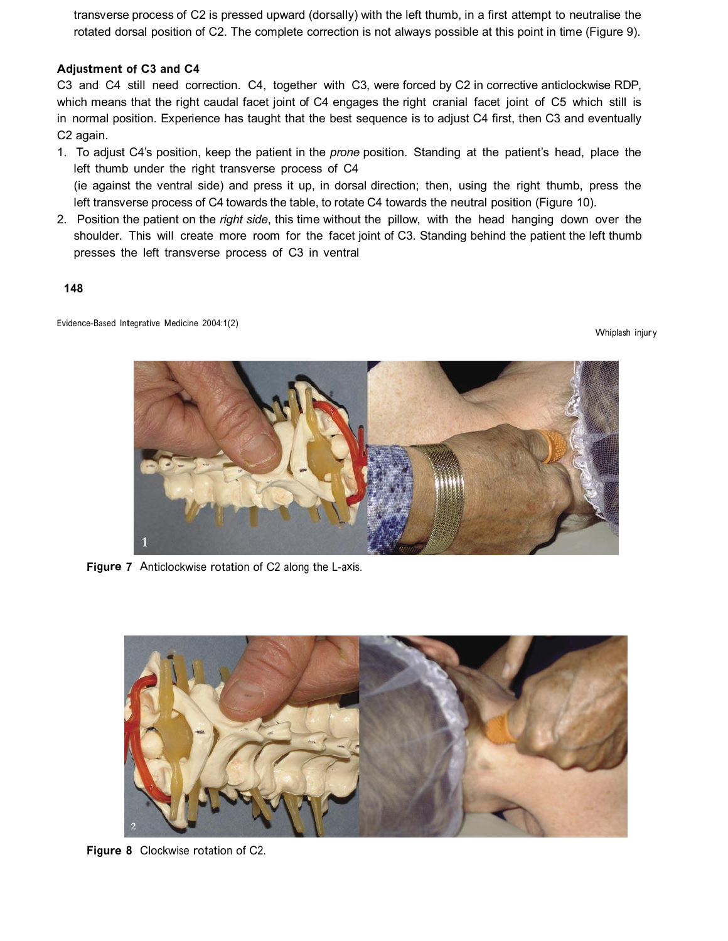transverse process of C2 is pressed upward (dorsally) with the left thumb, in a first attempt to neutralise the rotated dorsal position of C2. The complete correction is not always possible at this point in time (Figure 9).

#### **Adjustment of C3 and C4**

C3 and C4 still need correction. C4, together with C3, were forced by C2 in corrective anticlockwise RDP, which means that the right caudal facet joint of C4 engages the right cranial facet joint of C5 which still is in normal position. Experience has taught that the best sequence is to adjust C4 first, then C3 and eventually C2 again.

- 1. To adjust C4's position, keep the patient in the *prone* position. Standing at the patient's head, place the left thumb under the right transverse process of C4 (ie against the ventral side) and press it up, in dorsal direction; then, using the right thumb, press the left transverse process of C4 towards the table, to rotate C4 towards the neutral position (Figure 10).
- 2. Position the patient on the *right side*, this time without the pillow, with the head hanging down over the shoulder. This will create more room for the facet joint of C3. Standing behind the patient the left thumb presses the left transverse process of C3 in ventral

**148**

Evidence-Based Integrative Medicine 2004:1(2)

Whiplash injury



**Figure 7** Anticlockwise rotation of C2 along the L-axis.



**Figure 8** Clockwise rotation of C2.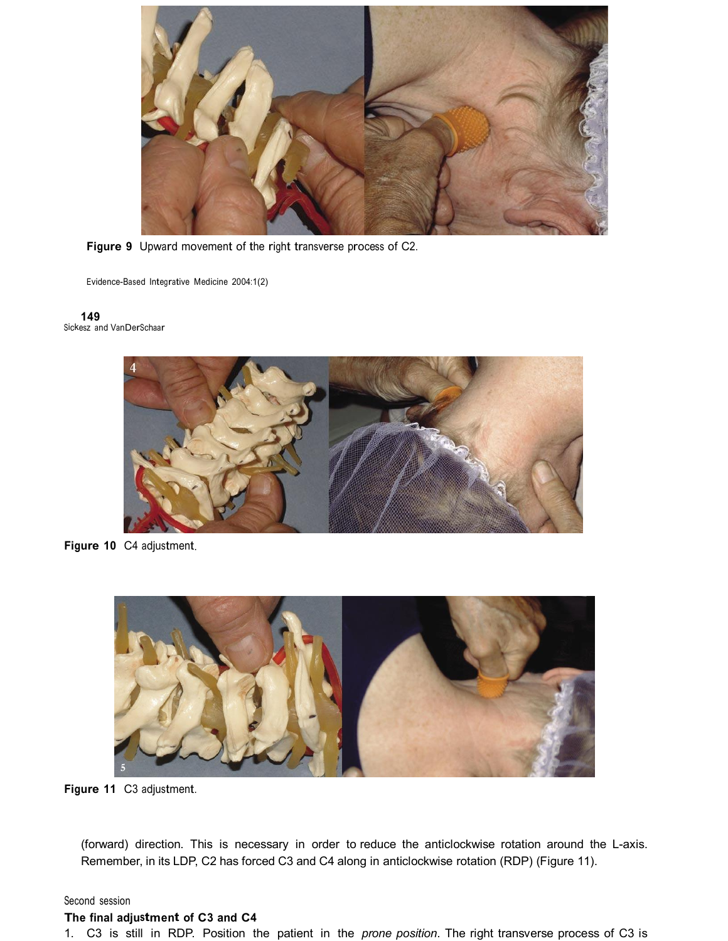

**Figure 9** Upward movement of the right transverse process of C2.

Evidence-Based Integrative Medicine 2004:1(2)

**149** <sup>S</sup>ickesz <sup>a</sup>nd VanDerSchaar



**Figure 10** C4 adjustment.



**Figure 11** C3 adjustment.

(forward) direction. This is necessary in order to reduce the anticlockwise rotation around the L-axis. Remember, in its LDP, C2 has forced C3 and C4 along in anticlockwise rotation (RDP) (Figure 11).

#### Second session

#### **The final adjustment of C3 and C4**

1. C3 is still in RDP. Position the patient in the *prone position*. The right transverse process of C3 is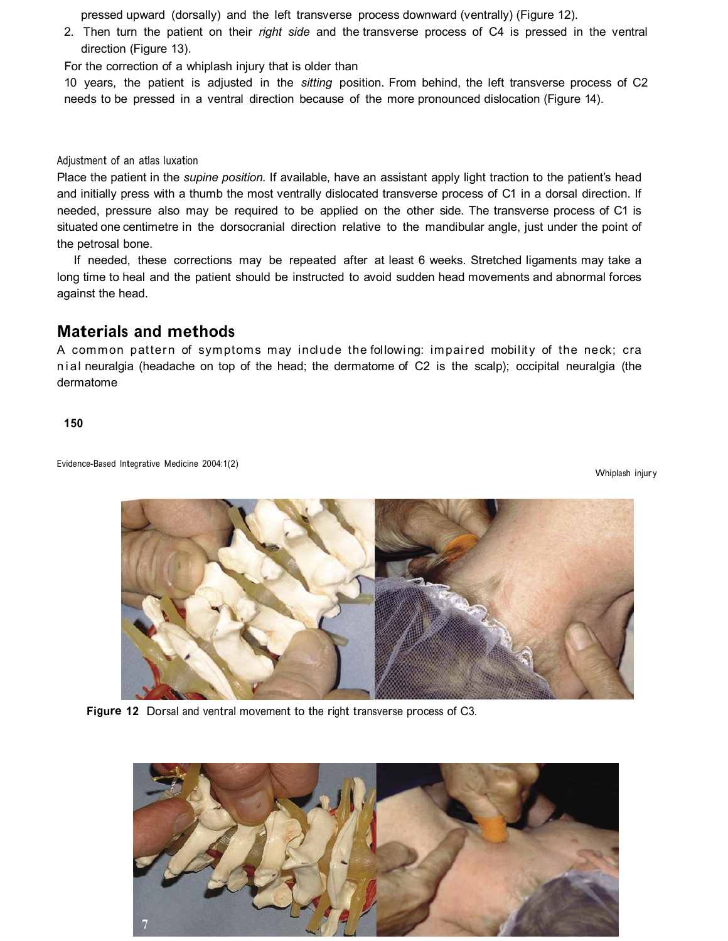pressed upward (dorsally) and the left transverse process downward (ventrally) (Figure 12).

2. Then turn the patient on their *right side* and the transverse process of C4 is pressed in the ventral direction (Figure 13).

For the correction of a whiplash injury that is older than

10 years, the patient is adjusted in the *sitting* position. From behind, the left transverse process of C2 needs to be pressed in a ventral direction because of the more pronounced dislocation (Figure 14).

Adjustment of an atla<sup>s</sup> luxation

Place the patient in the *supine position*. If available, have an assistant apply light traction to the patient's head and initially press with a thumb the most ventrally dislocated transverse process of C1 in a dorsal direction. If needed, pressure also may be required to be applied on the other side. The transverse process of C1 is situated one centimetre in the dorsocranial direction relative to the mandibular angle, just under the point of the petrosal bone.

If needed, these corrections may be repeated after at least 6 weeks. Stretched ligaments may take a long time to heal and the patient should be instructed to avoid sudden head movements and abnormal forces against the head.

## **Material<sup>s</sup> and method<sup>s</sup>**

A common pattern of symptoms may include the following: impaired mobility of the neck; cra nial neuralgia (headache on top of the head; the dermatome of C2 is the scalp); occipital neuralgia (the dermatome

**150**

Evidence-Based Integrative Medicine 2004:1(2)

Whiplash injury



**Figure 12** Dorsal and ventral movement to the right transverse process of C3.

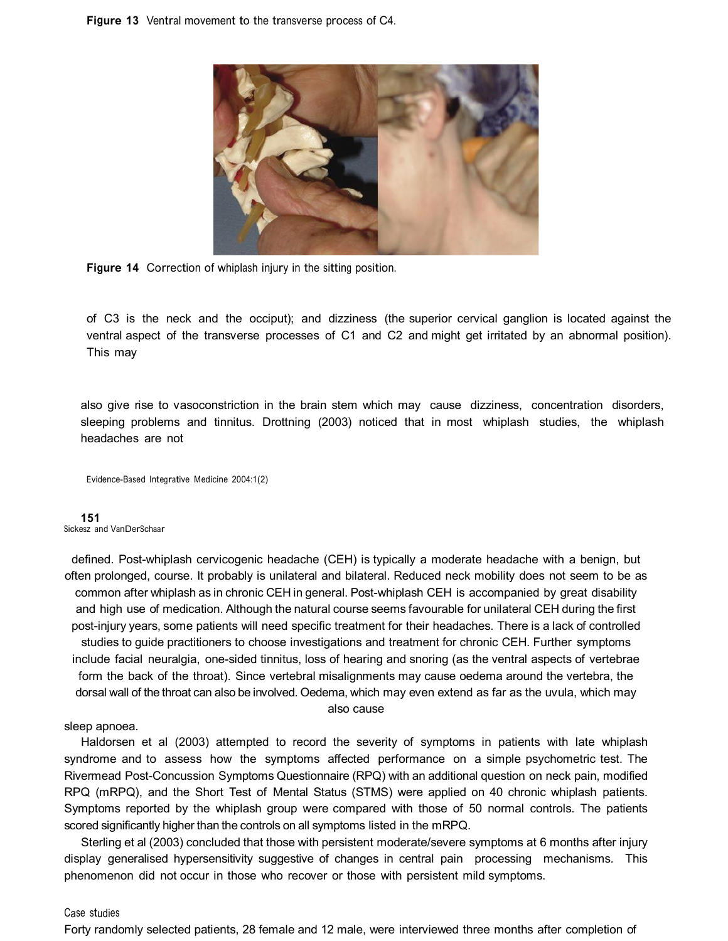**Figure 13** Ventral movement to the transverse process of C4.



**Figure 14** Correction of whiplash injury in the sittin<sup>g</sup> position.

of C3 is the neck and the occiput); and dizziness (the superior cervical ganglion is located against the ventral aspect of the transverse processes of C1 and C2 and might get irritated by an abnormal position). This may

also give rise to vasoconstriction in the brain stem which may cause dizziness, concentration disorders, sleeping problems and tinnitus. Drottning (2003) noticed that in most whiplash studies, the whiplash headaches are not

Evidence-Based Integrative Medicine 2004:1(2)

#### **151**

<sup>S</sup>ickesz <sup>a</sup>nd VanDerSchaar

defined. Post-whiplash cervicogenic headache (CEH) is typically a moderate headache with a benign, but often prolonged, course. It probably is unilateral and bilateral. Reduced neck mobility does not seem to be as common after whiplash as in chronic CEH in general. Post-whiplash CEH is accompanied by great disability and high use of medication. Although the natural course seems favourable for unilateral CEH during the first postinjury years, some patients will need specific treatment for their headaches. There is a lack of controlled studies to guide practitioners to choose investigations and treatment for chronic CEH. Further symptoms include facial neuralgia, one-sided tinnitus, loss of hearing and snoring (as the ventral aspects of vertebrae form the back of the throat). Since vertebral misalignments may cause oedema around the vertebra, the dorsal wall of the throat can also be involved. Oedema, which may even extend as far as the uvula, which may also cause

#### sleep apnoea.

Haldorsen et al (2003) attempted to record the severity of symptoms in patients with late whiplash syndrome and to assess how the symptoms affected performance on a simple psychometric test. The Rivermead Post-Concussion Symptoms Questionnaire (RPQ) with an additional question on neck pain, modified RPQ (mRPQ), and the Short Test of Mental Status (STMS) were applied on 40 chronic whiplash patients. Symptoms reported by the whiplash group were compared with those of 50 normal controls. The patients scored significantly higher than the controls on all symptoms listed in the mRPQ.

Sterling et al (2003) concluded that those with persistent moderate/severe symptoms at 6 months after injury display generalised hypersensitivity suggestive of changes in central pain processing mechanisms. This phenomenon did not occur in those who recover or those with persistent mild symptoms.

#### Case <sup>s</sup>tudie<sup>s</sup>

Forty randomly selected patients, 28 female and 12 male, were interviewed three months after completion of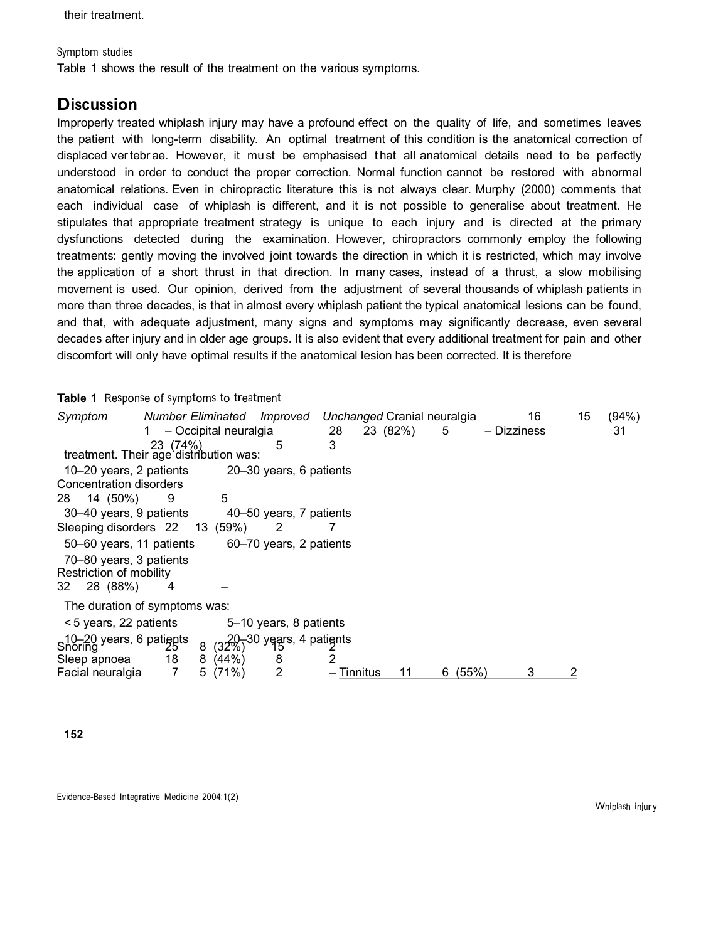#### <sup>S</sup>ymptom <sup>s</sup>tudie<sup>s</sup>

Table 1 shows the result of the treatment on the various symptoms.

## **Discussion**

Improperly treated whiplash injury may have a profound effect on the quality of life, and sometimes leaves the patient with long-term disability. An optimal treatment of this condition is the anatomical correction of displaced vertebr ae. However, it must be emphasised t hat all anatomical details need to be perfectly understood in order to conduct the proper correction. Normal function cannot be restored with abnormal anatomical relations. Even in chiropractic literature this is not always clear. Murphy (2000) comments that each individual case of whiplash is different, and it is not possible to generalise about treatment. He stipulates that appropriate treatment strategy is unique to each injury and is directed at the primary dysfunctions detected during the examination. However, chiropractors commonly employ the following treatments: gently moving the involved joint towards the direction in which it is restricted, which may involve the application of a short thrust in that direction. In many cases, instead of a thrust, a slow mobilising movement is used. Our opinion, derived from the adjustment of several thousands of whiplash patients in more than three decades, is that in almost every whiplash patient the typical anatomical lesions can be found, and that, with adequate adjustment, many signs and symptoms may significantly decrease, even several decades after injury and in older age groups. It is also evident that every additional treatment for pain and other discomfort will only have optimal results ifthe anatomical lesion has been corrected. It is therefore

#### **Table 1** <sup>R</sup>esponse of <sup>s</sup>ymptom<sup>s</sup> to treatment

| Symptom<br>treatment. Their age distribution was:  | <b>Number Eliminated</b><br>23 (74%) | - Occipital neuralgia | Improved<br>5                            | 28<br>3  | 23 (82%) |    | Unchanged Cranial neuralgia<br>5 | – Dizziness | 16 | 15 | (94%)<br>31 |
|----------------------------------------------------|--------------------------------------|-----------------------|------------------------------------------|----------|----------|----|----------------------------------|-------------|----|----|-------------|
| 10–20 years, 2 patients                            |                                      |                       | 20–30 years, 6 patients                  |          |          |    |                                  |             |    |    |             |
| Concentration disorders                            |                                      |                       |                                          |          |          |    |                                  |             |    |    |             |
| 14 (50%)<br>28                                     | 9                                    | 5                     |                                          |          |          |    |                                  |             |    |    |             |
| 30–40 years, 9 patients                            |                                      |                       | 40–50 years, 7 patients                  |          |          |    |                                  |             |    |    |             |
| Sleeping disorders 22                              |                                      | 13 (59%)              |                                          |          |          |    |                                  |             |    |    |             |
| 50–60 years, 11 patients                           |                                      |                       | 60–70 years, 2 patients                  |          |          |    |                                  |             |    |    |             |
| 70–80 years, 3 patients<br>Restriction of mobility |                                      |                       |                                          |          |          |    |                                  |             |    |    |             |
| 28 (88%)<br>32                                     | 4                                    |                       |                                          |          |          |    |                                  |             |    |    |             |
| The duration of symptoms was:                      |                                      |                       |                                          |          |          |    |                                  |             |    |    |             |
| <5 years, 22 patients                              |                                      |                       | 5–10 years, 8 patients                   |          |          |    |                                  |             |    |    |             |
| 10-20 years, 6 patients<br>Snoring                 |                                      | 8                     | $(32\%)$ <sup>30</sup> years, 4 patients |          |          |    |                                  |             |    |    |             |
| Sleep apnoea                                       | 18                                   | 8(44%)                | 8                                        |          |          |    |                                  |             |    |    |             |
| Facial neuralgia                                   | 7                                    | 5(71%)                | 2                                        | Tinnitus |          | 11 | (55%)<br>6                       |             | 3  |    |             |